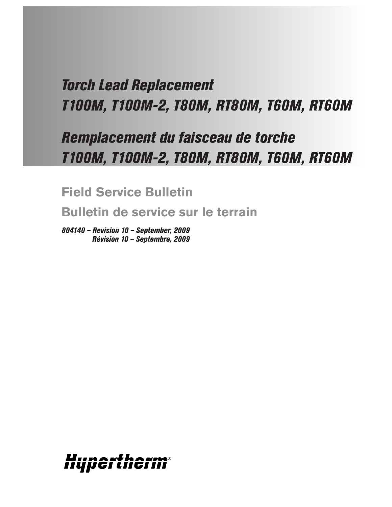# *Torch Lead Replacement T100M, T100M-2, T80M, RT80M, T60M, RT60M*

# *Remplacement du faisceau de torche T100M, T100M-2, T80M, RT80M, T60M, RT60M*

**Field Service Bulletin**

**Bulletin de service sur le terrain**

*804140 – Revision 10 – September, 2009 Révision 10 – Septembre, 2009*

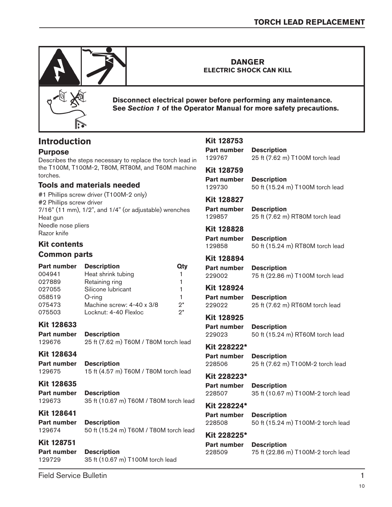

# **Introduction**

### **Purpose**

Describes the steps necessary to replace the torch lead in the T100M, T100M-2, T80M, RT80M, and T60M machine torches.

### **Tools and materials needed**

#1 Phillips screw driver (T100M-2 only) #2 Phillips screw driver 7/16" (11 mm), 1/2", and 1/4" (or adjustable) wrenches Heat gun Needle nose pliers Razor knife

### **Kit contents**

#### **Common parts**

| <b>Description</b><br><b>Part number</b> |                           | Qty |
|------------------------------------------|---------------------------|-----|
| 004941                                   | Heat shrink tubing        | 1.  |
| 027889                                   | Retaining ring            | 1   |
| 027055                                   | Silicone lubricant        | 1.  |
| 058519                                   | $O$ -ring                 | 1   |
| 075473                                   | Machine screw: 4-40 x 3/8 | ?*  |
| 075503                                   | Locknut: 4-40 Flexloc     | ?*  |

#### **Kit 128633**

**Part number Description** 129676 25 ft (7.62 m) T60M / T80M torch lead

#### **Kit 128634**

**Part number Description** 129675 15 ft (4.57 m) T60M / T80M torch lead

#### **Kit 128635**

**Part number Description** 129673 35 ft (10.67 m) T60M / T80M torch lead

### **Kit 128641**

**Part number Description** 129674 50 ft (15.24 m) T60M / T80M torch lead

**Kit 128751 Part number Description** 129729 35 ft (10.67 m) T100M torch lead

### **Kit 128753 Part number Description** 129767 25 ft (7.62 m) T100M torch lead **Kit 128759 Part number Description** 129730 50 ft (15.24 m) T100M torch lead **Kit 128827 Part number Description** 129857 25 ft (7.62 m) RT80M torch lead **Kit 128828 Part number Description** 129858 50 ft (15.24 m) RT80M torch lead **Kit 128894 Part number Description** 229002 75 ft (22.86 m) T100M torch lead **Kit 128924 Part number Description** 229022 25 ft (7.62 m) RT60M torch lead **Kit 128925 Part number Description** 229023 50 ft (15.24 m) RT60M torch lead **Kit 228222\* Part number Description** 228506 25 ft (7.62 m) T100M-2 torch lead **Kit 228223\* Part number Description** 228507 35 ft (10.67 m) T100M-2 torch lead **Kit 228224\* Part number Description** 228508 50 ft (15.24 m) T100M-2 torch lead **Kit 228225\* Part number Description** 228509 75 ft (22.86 m) T100M-2 torch lead

Field Service Bulletin 1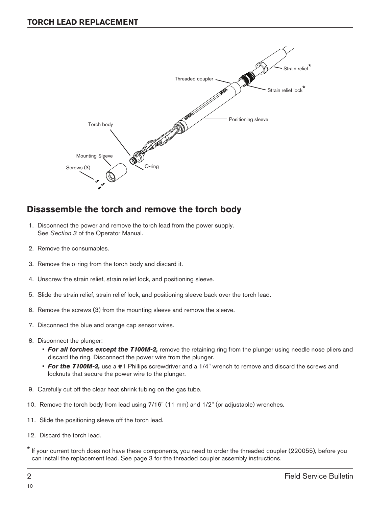

# **Disassemble the torch and remove the torch body**

- 1. Disconnect the power and remove the torch lead from the power supply. See *Section 3* of the Operator Manual.
- 2. Remove the consumables.
- 3. Remove the o-ring from the torch body and discard it.
- 4. Unscrew the strain relief, strain relief lock, and positioning sleeve.
- 5. Slide the strain relief, strain relief lock, and positioning sleeve back over the torch lead.
- 6. Remove the screws (3) from the mounting sleeve and remove the sleeve.
- 7. Disconnect the blue and orange cap sensor wires.
- 8. Disconnect the plunger:
	- For all torches except the T100M-2, remove the retaining ring from the plunger using needle nose pliers and discard the ring. Disconnect the power wire from the plunger.
	- **For the T100M-2,** use a #1 Phillips screwdriver and a 1/4" wrench to remove and discard the screws and locknuts that secure the power wire to the plunger.
- 9. Carefully cut off the clear heat shrink tubing on the gas tube.
- 10. Remove the torch body from lead using 7/16" (11 mm) and 1/2" (or adjustable) wrenches.
- 11. Slide the positioning sleeve off the torch lead.
- 12. Discard the torch lead.
- \* If your current torch does not have these components, you need to order the threaded coupler (220055), before you can install the replacement lead. See page 3 for the threaded coupler assembly instructions.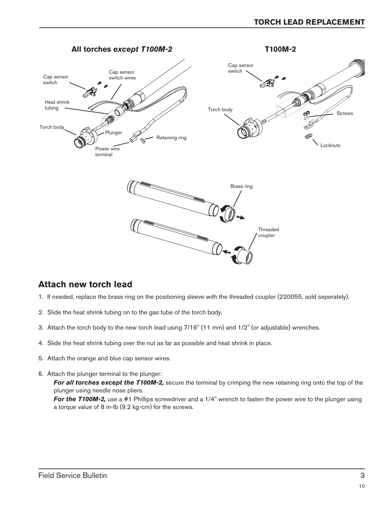

### **Attach new torch lead**

- 1. If needed, replace the brass ring on the positioning sleeve with the threaded coupler (220055, sold seperately).
- 2. Slide the heat shrink tubing on to the gas tube of the torch body.

a torque value of 8 in-lb (9.2 kg-cm) for the screws.

- 3. Attach the torch body to the new torch lead using 7/16" (11 mm) and 1/2" (or adjustable) wrenches.
- 4. Slide the heat shrink tubing over the nut as far as possible and heat shrink in place.
- 5. Attach the orange and blue cap sensor wires.
- 6. Attach the plunger terminal to the plunger: **For all torches except the T100M-2,** secure the terminal by crimping the new retaining ring onto the top of the plunger using needle nose pliers. *For the T100M-2,* use a #1 Phillips screwdriver and a 1/4" wrench to fasten the power wire to the plunger using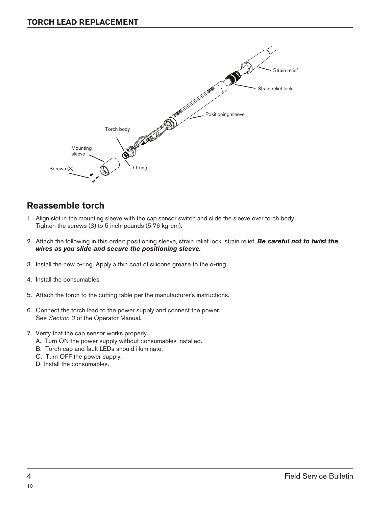

### **Reassemble torch**

- 1. Align slot in the mounting sleeve with the cap sensor switch and slide the sleeve over torch body. Tighten the screws (3) to 5 inch-pounds (5.76 kg-cm).
- 2. Attach the following in this order: positioning sleeve, strain relief lock, strain relief. *Be careful not to twist the wires as you slide and secure the positioning sleeve.*
- 3. Install the new o-ring. Apply a thin coat of silicone grease to the o-ring.
- 4. Install the consumables.
- 5. Attach the torch to the cutting table per the manufacturer's instructions.
- 6. Connect the torch lead to the power supply and connect the power. See *Section 3* of the Operator Manual.
- 7. Verify that the cap sensor works properly.
	- A. Turn ON the power supply without consumables installed.
	- B. Torch cap and fault LEDs should illuminate.
	- C. Turn OFF the power supply.
	- D Install the consumables.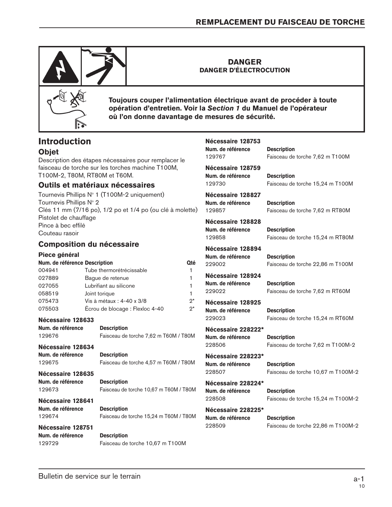129767 Faisceau de torche 7,62 m T100M

129730 Faisceau de torche 15,24 m T100M

129857 Faisceau de torche 7,62 m RT80M

129858 Faisceau de torche 15,24 m RT80M



**DANGER DANGER D'ÉLECTROCUTION**



**Toujours couper l'alimentation électrique avant de procéder à toute opération d'entretien. Voir la** *Section 1* **du Manuel de l'opérateur où l'on donne davantage de mesures de sécurité.**

**Nécessaire 128753**

**Nécessaire 128759**

**Nécessaire 128827**

**Nécessaire 128828**

**Nécessaire 128894**

**Num. de référence Description**

**Num. de référence Description**

**Num. de référence Description**

**Num. de référence Description**

## **Introduction**

### **Objet**

Description des étapes nécessaires pour remplacer le faisceau de torche sur les torches machine T100M, T100M-2, T80M, RT80M et T60M.

#### **Outils et matériaux nécessaires**

Tournevis Phillips  $N^{\circ}$  1 (T100M-2 uniquement) Tournevis Phillips N° 2 Clés 11 mm (7/16 po), 1/2 po et 1/4 po (ou clé à molette) Pistolet de chauffage Pince à bec effilé Couteau rasoir

### **Composition du nécessaire**

| Piece général                                                                              |                                          |                    | Num. de référence  | <b>Description</b>                 |
|--------------------------------------------------------------------------------------------|------------------------------------------|--------------------|--------------------|------------------------------------|
| Num. de référence Description                                                              |                                          | Qté                | 229002             | Faisceau de torche 22,86 m T100M   |
| 004941                                                                                     | Tube thermorétrécissable                 |                    |                    |                                    |
| 027889                                                                                     | Bague de retenue                         |                    | Nécessaire 128924  |                                    |
| 027055                                                                                     | Lubrifiant au silicone                   |                    | Num. de référence  | <b>Description</b>                 |
| 058519                                                                                     | Joint torique                            |                    | 229022             | Faisceau de torche 7,62 m RT60M    |
| 075473                                                                                     | $2^*$<br>Vis à métaux : 4-40 x 3/8       |                    | Nécessaire 128925  |                                    |
| 075503                                                                                     | $2^*$<br>Écrou de blocage : Flexloc 4-40 |                    | Num. de référence  | <b>Description</b>                 |
| Nécessaire 128633                                                                          |                                          |                    | 229023             | Faisceau de torche 15,24 m RT60M   |
| Num. de référence<br><b>Description</b>                                                    |                                          |                    | Nécessaire 228222* |                                    |
| Faisceau de torche 7,62 m T60M / T80M<br>129676                                            |                                          |                    | Num. de référence  | <b>Description</b>                 |
| Nécessaire 128634                                                                          |                                          |                    | 228506             | Faisceau de torche 7,62 m T100M-2  |
| Num. de référence<br><b>Description</b><br>Faisceau de torche 4,57 m T60M / T80M<br>129675 |                                          | Nécessaire 228223* |                    |                                    |
|                                                                                            |                                          |                    | Num. de référence  | <b>Description</b>                 |
| Nécessaire 128635                                                                          |                                          |                    | 228507             | Faisceau de torche 10,67 m T100M-2 |
| Num. de référence                                                                          | <b>Description</b>                       |                    | Nécessaire 228224* |                                    |
| Faisceau de torche 10,67 m T60M / T80M<br>129673                                           |                                          |                    | Num. de référence  | <b>Description</b>                 |
| Nécessaire 128641                                                                          |                                          |                    | 228508             | Faisceau de torche 15,24 m T100M-2 |
| Num. de référence                                                                          | <b>Description</b>                       |                    | Nécessaire 228225* |                                    |
| Faisceau de torche 15,24 m T60M / T80M<br>129674                                           |                                          | Num. de référence  |                    | <b>Description</b>                 |
| Nécessaire 128751                                                                          |                                          |                    | 228509             | Faisceau de torche 22,86 m T100M-2 |
| Num. de référence                                                                          | <b>Description</b>                       |                    |                    |                                    |

129729 Faisceau de torche 10,67 m T100M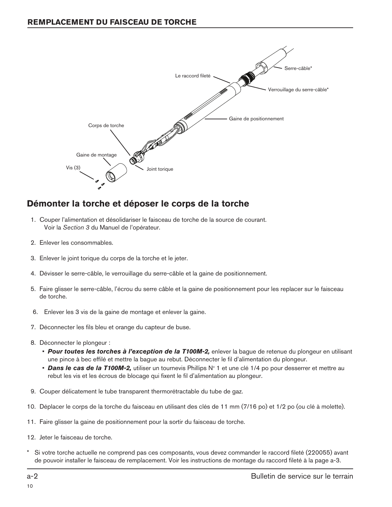

## **Démonter la torche et déposer le corps de la torche**

- 1. Couper l'alimentation et désolidariser le faisceau de torche de la source de courant. Voir la *Section 3* du Manuel de l'opérateur.
- 2. Enlever les consommables.
- 3. Enlever le joint torique du corps de la torche et le jeter.
- 4. Dévisser le serre-câble, le verrouillage du serre-câble et la gaine de positionnement.
- 5. Faire glisser le serre-câble, l'écrou du serre câble et la gaine de positionnement pour les replacer sur le faisceau de torche.
- 6. Enlever les 3 vis de la gaine de montage et enlever la gaine.
- 7. Déconnecter les fils bleu et orange du capteur de buse.
- 8. Déconnecter le plongeur :
	- *Pour toutes les torches à l'exception de la T100M-2,* enlever la bague de retenue du plongeur en utilisant une pince à bec effilé et mettre la bague au rebut. Déconnecter le fil d'alimentation du plongeur.
	- **Dans le cas de la T100M-2,** utiliser un tournevis Phillips N° 1 et une clé 1/4 po pour desserrer et mettre au rebut les vis et les écrous de blocage qui fixent le fil d'alimentation au plongeur.
- 9. Couper délicatement le tube transparent thermorétractable du tube de gaz.
- 10. Déplacer le corps de la torche du faisceau en utilisant des clés de 11 mm (7/16 po) et 1/2 po (ou clé à molette).
- 11. Faire glisser la gaine de positionnement pour la sortir du faisceau de torche.
- 12. Jeter le faisceau de torche.
- Si votre torche actuelle ne comprend pas ces composants, vous devez commander le raccord fileté (220055) avant de pouvoir installer le faisceau de remplacement. Voir les instructions de montage du raccord fileté à la page a-3.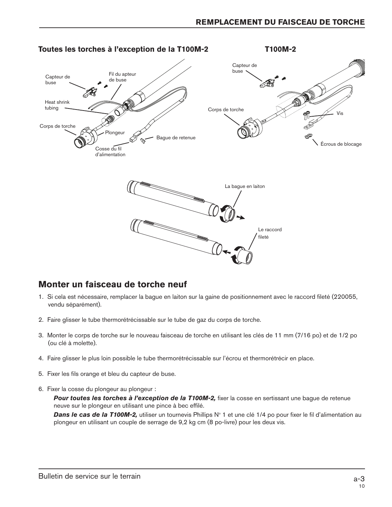

### **Monter un faisceau de torche neuf**

- 1. Si cela est nécessaire, remplacer la bague en laiton sur la gaine de positionnement avec le raccord fileté (220055, vendu séparément).
- 2. Faire glisser le tube thermorétrécissable sur le tube de gaz du corps de torche.
- 3. Monter le corps de torche sur le nouveau faisceau de torche en utilisant les clés de 11 mm (7/16 po) et de 1/2 po (ou clé à molette).
- 4. Faire glisser le plus loin possible le tube thermorétrécissable sur l'écrou et thermorétrécir en place.
- 5. Fixer les fils orange et bleu du capteur de buse.
- 6. Fixer la cosse du plongeur au plongeur :

Pour toutes les torches à l'exception de la T100M-2, fixer la cosse en sertissant une bague de retenue neuve sur le plongeur en utilisant une pince à bec effilé.

**Dans le cas de la T100M-2,** utiliser un tournevis Phillips N° 1 et une clé 1/4 po pour fixer le fil d'alimentation au plongeur en utilisant un couple de serrage de 9,2 kg cm (8 po-livre) pour les deux vis.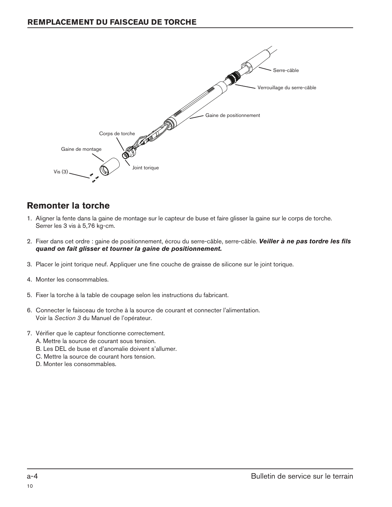

## **Remonter la torche**

- 1. Aligner la fente dans la gaine de montage sur le capteur de buse et faire glisser la gaine sur le corps de torche. Serrer les 3 vis à 5,76 kg-cm.
- 2. Fixer dans cet ordre : gaine de positionnement, écrou du serre-câble, serre-câble. *Veiller à ne pas tordre les fils quand on fait glisser et tourner la gaine de positionnement.*
- 3. Placer le joint torique neuf. Appliquer une fine couche de graisse de silicone sur le joint torique.
- 4. Monter les consommables.
- 5. Fixer la torche à la table de coupage selon les instructions du fabricant.
- 6. Connecter le faisceau de torche à la source de courant et connecter l'alimentation. Voir la *Section 3* du Manuel de l'opérateur.
- 7. Vérifier que le capteur fonctionne correctement.
	- A. Mettre la source de courant sous tension.
	- B. Les DEL de buse et d'anomalie doivent s'allumer.
	- C. Mettre la source de courant hors tension.
	- D. Monter les consommables.